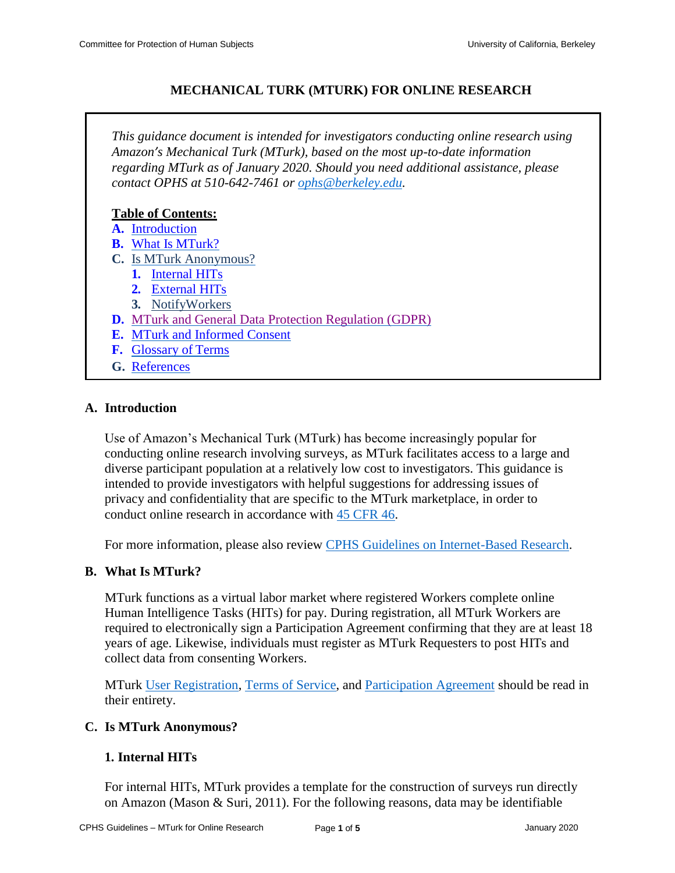# **MECHANICAL TURK (MTURK) FOR ONLINE RESEARCH**

*This guidance document is intended for investigators conducting online research using Amazon's Mechanical Turk (MTurk), based on the most up-to-date information regarding MTurk as of January 2020. Should you need additional assistance, please contact OPHS at 510-642-7461 or [ophs@berkeley.edu.](mailto:ophs@berkeley.edu)* **Table of Contents: A.** [Introduction](#page-0-0) **B.** [What Is MTurk?](#page-0-1) **C.** Is MTurk [Anonymous?](#page-0-2) **1.** [Internal](#page-0-3) HITs **2.** [External](#page-1-0) HITs **3.** [NotifyWorkers](#page-2-0)

- **D.** [MTurk and General Data Protection Regulation \(GDPR\)](#page-2-1)
- **E.** [MTurk and Informed Consent](#page-3-0)
- **F.** [Glossary of](#page-3-1) Terms
- **G.** [References](#page-4-0)

### <span id="page-0-0"></span>**A. Introduction**

Use of Amazon's Mechanical Turk (MTurk) has become increasingly popular for conducting online research involving surveys, as MTurk facilitates access to a large and diverse participant population at a relatively low cost to investigators. This guidance is intended to provide investigators with helpful suggestions for addressing issues of privacy and confidentiality that are specific to the MTurk marketplace, in order to conduct online research in accordance with [45 CFR 46.](http://www.hhs.gov/ohrp/regulations-and-policy/regulations/45-cfr-46/index.html)

For more information, please also review [CPHS Guidelines on Internet-Based Research.](http://cphs.berkeley.edu/internet_research.pdf)

### <span id="page-0-1"></span>**B. What Is MTurk?**

MTurk functions as a virtual labor market where registered Workers complete online Human Intelligence Tasks (HITs) for pay. During registration, all MTurk Workers are required to electronically sign a Participation Agreement confirming that they are at least 18 years of age. Likewise, individuals must register as MTurk Requesters to post HITs and collect data from consenting Workers.

MTurk [User Registration,](https://www.mturk.com/mturk/welcome) [Terms of Service,](https://www.mturk.com/mturk/help?helpPage=policies) and [Participation Agreement](https://www.mturk.com/mturk/conditionsofuse) should be read in their entirety.

### <span id="page-0-2"></span>**C. Is MTurk Anonymous?**

# <span id="page-0-3"></span>**1. Internal HITs**

For internal HITs, MTurk provides a template for the construction of surveys run directly on Amazon (Mason & Suri, 2011). For the following reasons, data may be identifiable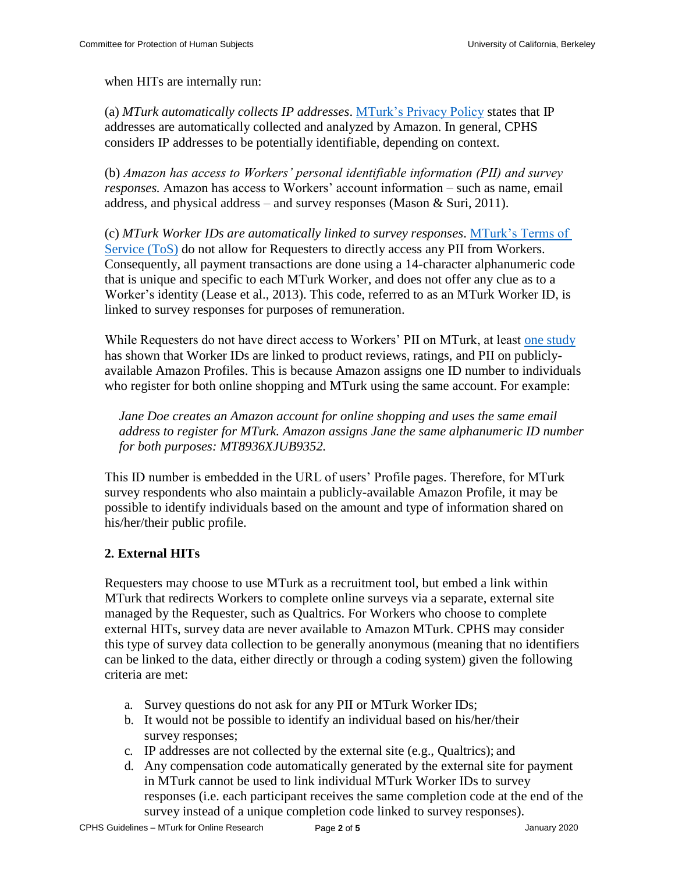when HITs are internally run:

(a) *MTurk automatically collects IP addresses*. [MTurk's Privacy Policy](https://www.mturk.com/mturk/privacynotice) states that IP addresses are automatically collected and analyzed by Amazon. In general, CPHS considers IP addresses to be potentially identifiable, depending on context.

(b) *Amazon has access to Workers' personal identifiable information (PII) and survey responses.* Amazon has access to Workers' account information – such as name, email address, and physical address – and survey responses (Mason & Suri, 2011).

(c) *MTurk Worker IDs are automatically linked to survey responses*. [MTurk's Terms of](https://www.mturk.com/mturk/help?helpPage=policies) [Service \(ToS\)](https://www.mturk.com/mturk/help?helpPage=policies) do not allow for Requesters to directly access any PII from Workers. Consequently, all payment transactions are done using a 14-character alphanumeric code that is unique and specific to each MTurk Worker, and does not offer any clue as to a Worker's identity (Lease et al., 2013). This code, referred to as an MTurk Worker ID, is linked to survey responses for purposes of remuneration.

While Requesters do not have direct access to Workers' PII on MTurk, at least [one study](http://dx.doi.org/10.2139/ssrn.2228728) has shown that Worker IDs are linked to product reviews, ratings, and PII on publiclyavailable Amazon Profiles. This is because Amazon assigns one ID number to individuals who register for both online shopping and MTurk using the same account. For example:

*Jane Doe creates an Amazon account for online shopping and uses the same email address to register for MTurk. Amazon assigns Jane the same alphanumeric ID number for both purposes: MT8936XJUB9352.* 

This ID number is embedded in the URL of users' Profile pages. Therefore, for MTurk survey respondents who also maintain a publicly-available Amazon Profile, it may be possible to identify individuals based on the amount and type of information shared on his/her/their public profile.

# <span id="page-1-0"></span>**2. External HITs**

Requesters may choose to use MTurk as a recruitment tool, but embed a link within MTurk that redirects Workers to complete online surveys via a separate, external site managed by the Requester, such as Qualtrics. For Workers who choose to complete external HITs, survey data are never available to Amazon MTurk. CPHS may consider this type of survey data collection to be generally anonymous (meaning that no identifiers can be linked to the data, either directly or through a coding system) given the following criteria are met:

- a. Survey questions do not ask for any PII or MTurk Worker IDs;
- b. It would not be possible to identify an individual based on his/her/their survey responses;
- c. IP addresses are not collected by the external site (e.g., Qualtrics); and
- d. Any compensation code automatically generated by the external site for payment in MTurk cannot be used to link individual MTurk Worker IDs to survey responses (i.e. each participant receives the same completion code at the end of the survey instead of a unique completion code linked to survey responses).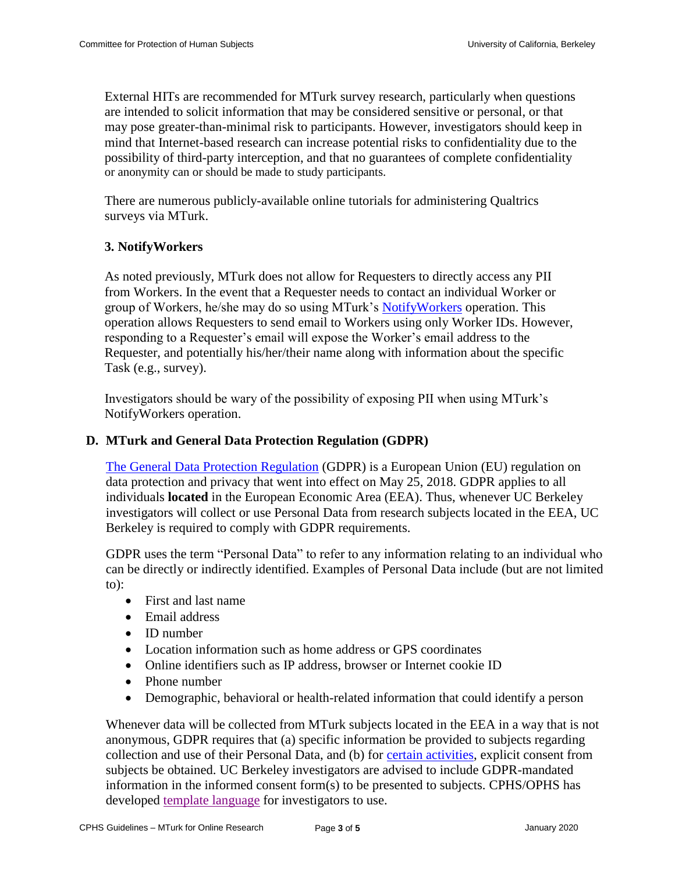External HITs are recommended for MTurk survey research, particularly when questions are intended to solicit information that may be considered sensitive or personal, or that may pose greater-than-minimal risk to participants. However, investigators should keep in mind that Internet-based research can increase potential risks to confidentiality due to the possibility of third-party interception, and that no guarantees of complete confidentiality or anonymity can or should be made to study participants.

There are numerous publicly-available online tutorials for administering Qualtrics surveys via MTurk.

# <span id="page-2-0"></span>**3. NotifyWorkers**

As noted previously, MTurk does not allow for Requesters to directly access any PII from Workers. In the event that a Requester needs to contact an individual Worker or group of Workers, he/she may do so using MTurk's [NotifyWorkers](https://docs.aws.amazon.com/AWSMechTurk/latest/AWSMturkAPI/ApiReference_NotifyWorkersOperation.html) operation. This operation allows Requesters to send email to Workers using only Worker IDs. However, responding to a Requester's email will expose the Worker's email address to the Requester, and potentially his/her/their name along with information about the specific Task (e.g., survey).

Investigators should be wary of the possibility of exposing PII when using MTurk's NotifyWorkers operation.

# <span id="page-2-1"></span>**D. MTurk and General Data Protection Regulation (GDPR)**

[The General Data Protection Regulation](https://cphs.berkeley.edu/guide/gdpr.html) (GDPR) is a European Union (EU) regulation on data protection and privacy that went into effect on May 25, 2018. GDPR applies to all individuals **located** in the European Economic Area (EEA). Thus, whenever UC Berkeley investigators will collect or use Personal Data from research subjects located in the EEA, UC Berkeley is required to comply with GDPR requirements.

GDPR uses the term "Personal Data" to refer to any information relating to an individual who can be directly or indirectly identified. Examples of Personal Data include (but are not limited to):

- First and last name
- Email address
- ID number
- Location information such as home address or GPS coordinates
- Online identifiers such as IP address, browser or Internet cookie ID
- Phone number
- Demographic, behavioral or health-related information that could identify a person

Whenever data will be collected from MTurk subjects located in the EEA in a way that is not anonymous, GDPR requires that (a) specific information be provided to subjects regarding collection and use of their Personal Data, and (b) for [certain activities,](https://cphs.berkeley.edu/guide/gdpr.html#requirements) explicit consent from subjects be obtained. UC Berkeley investigators are advised to include GDPR-mandated information in the informed consent form(s) to be presented to subjects. CPHS/OPHS has developed [template language](https://cphs.berkeley.edu/guide/gdpr_consent.docx) for investigators to use.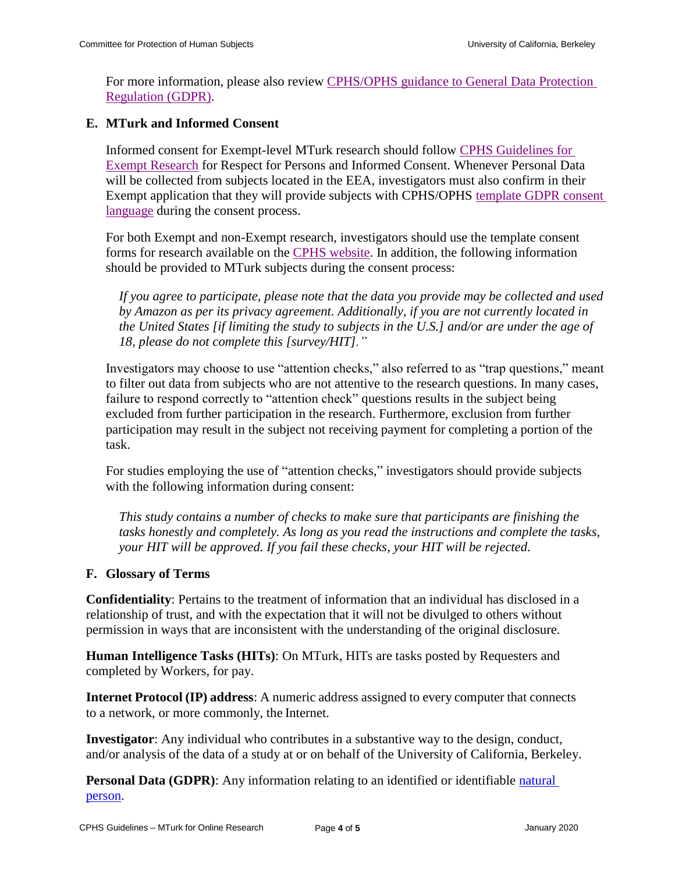For more information, please also review [CPHS/OPHS guidance to General Data Protection](https://cphs.berkeley.edu/guide/gdpr.html)  [Regulation \(GDPR\).](https://cphs.berkeley.edu/guide/gdpr.html)

# <span id="page-3-0"></span>**E. MTurk and Informed Consent**

Informed consent for Exempt-level MTurk research should follow [CPHS Guidelines for](https://cphs.berkeley.edu/exempt.pdf)  [Exempt Research](https://cphs.berkeley.edu/exempt.pdf) for Respect for Persons and Informed Consent. Whenever Personal Data will be collected from subjects located in the EEA, investigators must also confirm in their Exempt application that they will provide subjects with CPHS/OPHS [template GDPR consent](https://cphs.berkeley.edu/guide/gdpr_consent.docx)  [language](https://cphs.berkeley.edu/guide/gdpr_consent.docx) during the consent process.

For both Exempt and non-Exempt research, investigators should use the template consent forms for research available on the [CPHS website.](https://cphs.berkeley.edu/informedconsent.html) In addition, the following information should be provided to MTurk subjects during the consent process:

*If you agree to participate, please note that the data you provide may be collected and used by Amazon as per its privacy agreement. Additionally, if you are not currently located in the United States [if limiting the study to subjects in the U.S.] and/or are under the age of 18, please do not complete this [survey/HIT]."* 

Investigators may choose to use "attention checks," also referred to as "trap questions," meant to filter out data from subjects who are not attentive to the research questions. In many cases, failure to respond correctly to "attention check" questions results in the subject being excluded from further participation in the research. Furthermore, exclusion from further participation may result in the subject not receiving payment for completing a portion of the task.

For studies employing the use of "attention checks," investigators should provide subjects with the following information during consent:

*This study contains a number of checks to make sure that participants are finishing the tasks honestly and completely. As long as you read the instructions and complete the tasks, your HIT will be approved. If you fail these checks, your HIT will be rejected.*

### <span id="page-3-1"></span>**F. Glossary of Terms**

**Confidentiality**: Pertains to the treatment of information that an individual has disclosed in a relationship of trust, and with the expectation that it will not be divulged to others without permission in ways that are inconsistent with the understanding of the original disclosure.

**Human Intelligence Tasks (HITs)**: On MTurk, HITs are tasks posted by Requesters and completed by Workers, for pay.

**Internet Protocol (IP) address**: A numeric address assigned to every computer that connects to a network, or more commonly, the Internet.

**Investigator**: Any individual who contributes in a substantive way to the design, conduct, and/or analysis of the data of a study at or on behalf of the University of California, Berkeley.

**Personal Data (GDPR)**: Any information relating to an identified or identifiable natural [person.](https://gdpr-info.eu/art-4-gdpr/)